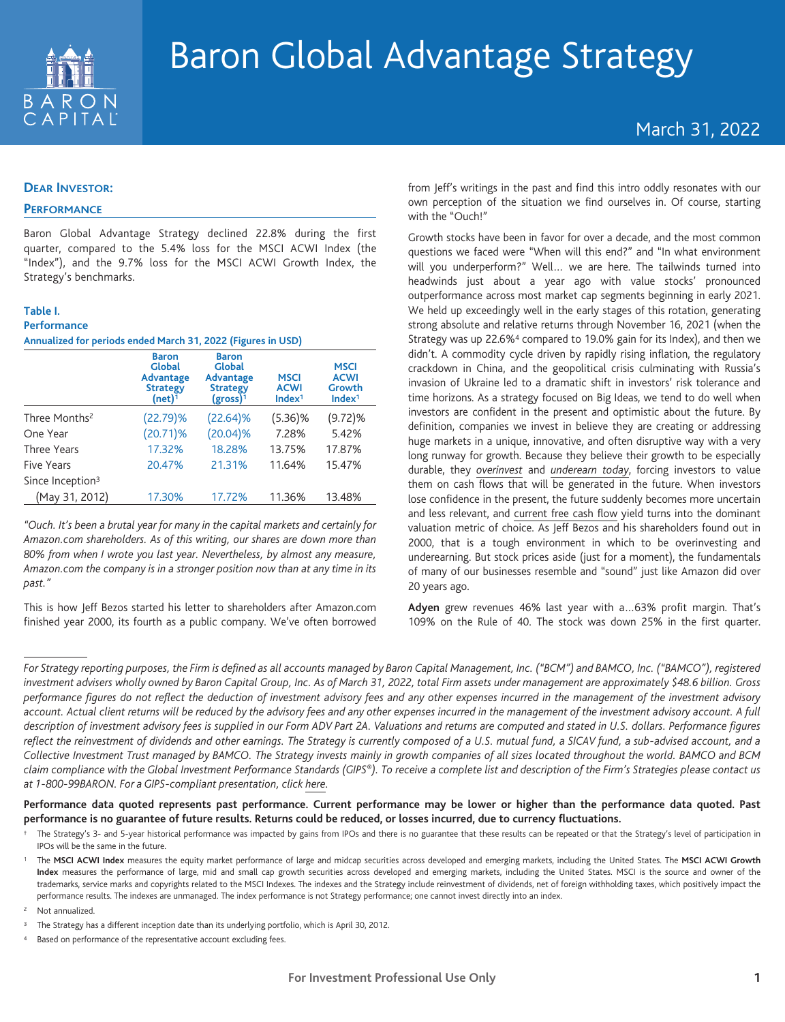

# March 31, 2022

## **DEAR INVESTOR:**

## **PERFORMANCE**

Baron Global Advantage Strategy declined 22.8% during the first quarter, compared to the 5.4% loss for the MSCI ACWI Index (the "Index"), and the 9.7% loss for the MSCI ACWI Growth Index, the Strategy's benchmarks.

#### **Table I.**

#### **Performance**

**Annualized for periods ended March 31, 2022 (Figures in USD)**

|                              | <b>Baron</b><br><b>Global</b><br><b>Advantage</b><br><b>Strategy</b><br>(net) $\bar{1}$ | <b>Baron</b><br><b>Global</b><br><b>Advantage</b><br><b>Strategy</b><br>$(gross)^{1}$ | <b>MSCI</b><br><b>ACWI</b><br>Index <sup>1</sup> | <b>MSCI</b><br><b>ACWI</b><br>Growth<br>Index <sup>1</sup> |
|------------------------------|-----------------------------------------------------------------------------------------|---------------------------------------------------------------------------------------|--------------------------------------------------|------------------------------------------------------------|
| Three Months <sup>2</sup>    | (22.79)%                                                                                | (22.64)%                                                                              | $(5.36)\%$                                       | (9.72)%                                                    |
| One Year                     | $(20.71)\%$                                                                             | (20.04)%                                                                              | 7.28%                                            | 5.42%                                                      |
| <b>Three Years</b>           | 17.32%                                                                                  | 18.28%                                                                                | 13.75%                                           | 17.87%                                                     |
| <b>Five Years</b>            | 20.47%                                                                                  | 21.31%                                                                                | 11.64%                                           | 15.47%                                                     |
| Since Inception <sup>3</sup> |                                                                                         |                                                                                       |                                                  |                                                            |
| (May 31, 2012)               | 17.30%                                                                                  | 17.72%                                                                                | 11.36%                                           | 13.48%                                                     |

*"Ouch. It's been a brutal year for many in the capital markets and certainly for Amazon.com shareholders. As of this writing, our shares are down more than 80% from when I wrote you last year. Nevertheless, by almost any measure, Amazon.com the company is in a stronger position now than at any time in its past."*

This is how Jeff Bezos started his letter to shareholders after Amazon.com finished year 2000, its fourth as a public company. We've often borrowed

from Jeff's writings in the past and find this intro oddly resonates with our own perception of the situation we find ourselves in. Of course, starting with the "Ouch!"

Growth stocks have been in favor for over a decade, and the most common questions we faced were "When will this end?" and "In what environment will you underperform?" Well… we are here. The tailwinds turned into headwinds just about a year ago with value stocks' pronounced outperformance across most market cap segments beginning in early 2021. We held up exceedingly well in the early stages of this rotation, generating strong absolute and relative returns through November 16, 2021 (when the Strategy was up 22.6%4 compared to 19.0% gain for its Index), and then we didn't. A commodity cycle driven by rapidly rising inflation, the regulatory crackdown in China, and the geopolitical crisis culminating with Russia's invasion of Ukraine led to a dramatic shift in investors' risk tolerance and time horizons. As a strategy focused on Big Ideas, we tend to do well when investors are confident in the present and optimistic about the future. By definition, companies we invest in believe they are creating or addressing huge markets in a unique, innovative, and often disruptive way with a very long runway for growth. Because they believe their growth to be especially durable, they *overinvest* and *underearn today*, forcing investors to value them on cash flows that will be generated in the future. When investors lose confidence in the present, the future suddenly becomes more uncertain and less relevant, and current free cash flow yield turns into the dominant valuation metric of choice. As Jeff Bezos and his shareholders found out in 2000, that is a tough environment in which to be overinvesting and underearning. But stock prices aside (just for a moment), the fundamentals of many of our businesses resemble and "sound" just like Amazon did over 20 years ago.

**Adyen** grew revenues 46% last year with a…63% profit margin. That's 109% on the Rule of 40. The stock was down 25% in the first quarter.

**Performance data quoted represents past performance. Current performance may be lower or higher than the performance data quoted. Past performance is no guarantee of future results. Returns could be reduced, or losses incurred, due to currency fluctuations.**

*For Strategy reporting purposes, the Firm is defined as all accounts managed by Baron Capital Management, Inc. ("BCM") and BAMCO, Inc. ("BAMCO"), registered investment advisers wholly owned by Baron Capital Group, Inc. As of March 31, 2022, total Firm assets under management are approximately \$48.6 billion. Gross performance figures do not reflect the deduction of investment advisory fees and any other expenses incurred in the management of the investment advisory account. Actual client returns will be reduced by the advisory fees and any other expenses incurred in the management of the investment advisory account. A full description of investment advisory fees is supplied in our Form ADV Part 2A. Valuations and returns are computed and stated in U.S. dollars. Performance figures reflect the reinvestment of dividends and other earnings. The Strategy is currently composed of a U.S. mutual fund, a SICAV fund, a sub-advised account, and a Collective Investment Trust managed by BAMCO. The Strategy invests mainly in growth companies of all sizes located throughout the world. BAMCO and BCM claim compliance with the Global Investment Performance Standards (GIPS®). To receive a complete list and description of the Firm's Strategies please contact us at 1-800-99BARON. For a GIPS-compliant presentation, click [here.](https://view-su2.highspot.com/viewer/61f99e1baeeab6e9cb1c0093)*

The Strategy's 3- and 5-year historical performance was impacted by gains from IPOs and there is no guarantee that these results can be repeated or that the Strategy's level of participation in IPOs will be the same in the future.

<sup>1</sup> The **MSCI ACWI Index** measures the equity market performance of large and midcap securities across developed and emerging markets, including the United States. The **MSCI ACWI Growth** Index measures the performance of large, mid and small cap growth securities across developed and emerging markets, including the United States. MSCI is the source and owner of the trademarks, service marks and copyrights related to the MSCI Indexes. The indexes and the Strategy include reinvestment of dividends, net of foreign withholding taxes, which positively impact the performance results. The indexes are unmanaged. The index performance is not Strategy performance; one cannot invest directly into an index.

<sup>2</sup> Not annualized.

<sup>3</sup> The Strategy has a different inception date than its underlying portfolio, which is April 30, 2012.

Based on performance of the representative account excluding fees.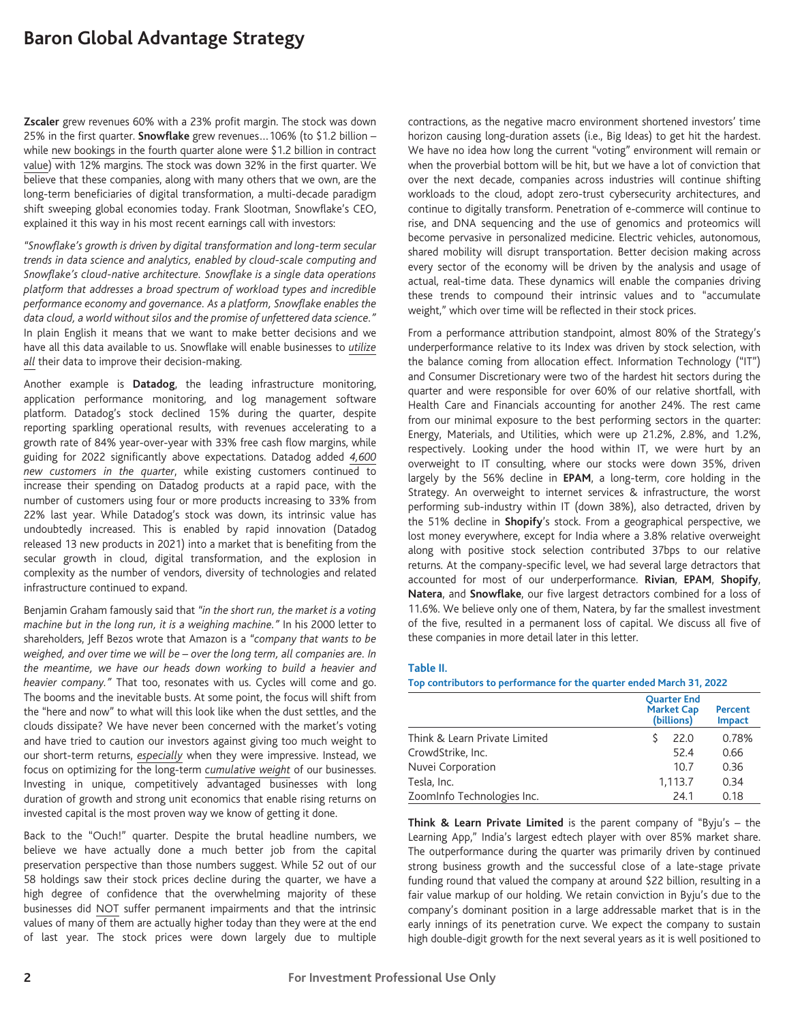**Zscaler** grew revenues 60% with a 23% profit margin. The stock was down 25% in the first quarter. **Snowflake** grew revenues…106% (to \$1.2 billion – while new bookings in the fourth quarter alone were \$1.2 billion in contract value) with 12% margins. The stock was down 32% in the first quarter. We believe that these companies, along with many others that we own, are the long-term beneficiaries of digital transformation, a multi-decade paradigm shift sweeping global economies today. Frank Slootman, Snowflake's CEO, explained it this way in his most recent earnings call with investors:

*"Snowflake's growth is driven by digital transformation and long-term secular trends in data science and analytics, enabled by cloud-scale computing and Snowflake's cloud-native architecture. Snowflake is a single data operations platform that addresses a broad spectrum of workload types and incredible performance economy and governance. As a platform, Snowflake enables the data cloud, a world without silos and the promise of unfettered data science."* In plain English it means that we want to make better decisions and we have all this data available to us. Snowflake will enable businesses to *utilize all* their data to improve their decision-making.

Another example is **Datadog**, the leading infrastructure monitoring, application performance monitoring, and log management software platform. Datadog's stock declined 15% during the quarter, despite reporting sparkling operational results, with revenues accelerating to a growth rate of 84% year-over-year with 33% free cash flow margins, while guiding for 2022 significantly above expectations. Datadog added *4,600 new customers in the quarter*, while existing customers continued to increase their spending on Datadog products at a rapid pace, with the number of customers using four or more products increasing to 33% from 22% last year. While Datadog's stock was down, its intrinsic value has undoubtedly increased. This is enabled by rapid innovation (Datadog released 13 new products in 2021) into a market that is benefiting from the secular growth in cloud, digital transformation, and the explosion in complexity as the number of vendors, diversity of technologies and related infrastructure continued to expand.

Benjamin Graham famously said that *"in the short run, the market is a voting machine but in the long run, it is a weighing machine."* In his 2000 letter to shareholders, Jeff Bezos wrote that Amazon is a *"company that wants to be weighed, and over time we will be – over the long term, all companies are. In the meantime, we have our heads down working to build a heavier and heavier company."* That too, resonates with us. Cycles will come and go. The booms and the inevitable busts. At some point, the focus will shift from the "here and now" to what will this look like when the dust settles, and the clouds dissipate? We have never been concerned with the market's voting and have tried to caution our investors against giving too much weight to our short-term returns, *especially* when they were impressive. Instead, we focus on optimizing for the long-term *cumulative weight* of our businesses. Investing in unique, competitively advantaged businesses with long duration of growth and strong unit economics that enable rising returns on invested capital is the most proven way we know of getting it done.

Back to the "Ouch!" quarter. Despite the brutal headline numbers, we believe we have actually done a much better job from the capital preservation perspective than those numbers suggest. While 52 out of our 58 holdings saw their stock prices decline during the quarter, we have a high degree of confidence that the overwhelming majority of these businesses did NOT suffer permanent impairments and that the intrinsic values of many of them are actually higher today than they were at the end of last year. The stock prices were down largely due to multiple contractions, as the negative macro environment shortened investors' time horizon causing long-duration assets (i.e., Big Ideas) to get hit the hardest. We have no idea how long the current "voting" environment will remain or when the proverbial bottom will be hit, but we have a lot of conviction that over the next decade, companies across industries will continue shifting workloads to the cloud, adopt zero-trust cybersecurity architectures, and continue to digitally transform. Penetration of e-commerce will continue to rise, and DNA sequencing and the use of genomics and proteomics will become pervasive in personalized medicine. Electric vehicles, autonomous, shared mobility will disrupt transportation. Better decision making across every sector of the economy will be driven by the analysis and usage of actual, real-time data. These dynamics will enable the companies driving these trends to compound their intrinsic values and to "accumulate weight," which over time will be reflected in their stock prices.

From a performance attribution standpoint, almost 80% of the Strategy's underperformance relative to its Index was driven by stock selection, with the balance coming from allocation effect. Information Technology ("IT") and Consumer Discretionary were two of the hardest hit sectors during the quarter and were responsible for over 60% of our relative shortfall, with Health Care and Financials accounting for another 24%. The rest came from our minimal exposure to the best performing sectors in the quarter: Energy, Materials, and Utilities, which were up 21.2%, 2.8%, and 1.2%, respectively. Looking under the hood within IT, we were hurt by an overweight to IT consulting, where our stocks were down 35%, driven largely by the 56% decline in **EPAM**, a long-term, core holding in the Strategy. An overweight to internet services & infrastructure, the worst performing sub-industry within IT (down 38%), also detracted, driven by the 51% decline in **Shopify**'s stock. From a geographical perspective, we lost money everywhere, except for India where a 3.8% relative overweight along with positive stock selection contributed 37bps to our relative returns. At the company-specific level, we had several large detractors that accounted for most of our underperformance. **Rivian**, **EPAM**, **Shopify**, **Natera**, and **Snowflake**, our five largest detractors combined for a loss of 11.6%. We believe only one of them, Natera, by far the smallest investment of the five, resulted in a permanent loss of capital. We discuss all five of these companies in more detail later in this letter.

#### **Table II.**

**Top contributors to performance for the quarter ended March 31, 2022**

|                               | <b>Quarter End</b><br><b>Market Cap</b><br>(billions) | <b>Percent</b><br><b>Impact</b> |
|-------------------------------|-------------------------------------------------------|---------------------------------|
| Think & Learn Private Limited | 22.0                                                  | 0.78%                           |
| CrowdStrike, Inc.             | 52.4                                                  | 0.66                            |
| Nuvei Corporation             | 10.7                                                  | 0.36                            |
| Tesla, Inc.                   | 1,113.7                                               | 0.34                            |
| ZoomInfo Technologies Inc.    | 24.1                                                  | 0.18                            |

**Think & Learn Private Limited** is the parent company of "Byju's – the Learning App," India's largest edtech player with over 85% market share. The outperformance during the quarter was primarily driven by continued strong business growth and the successful close of a late-stage private funding round that valued the company at around \$22 billion, resulting in a fair value markup of our holding. We retain conviction in Byju's due to the company's dominant position in a large addressable market that is in the early innings of its penetration curve. We expect the company to sustain high double-digit growth for the next several years as it is well positioned to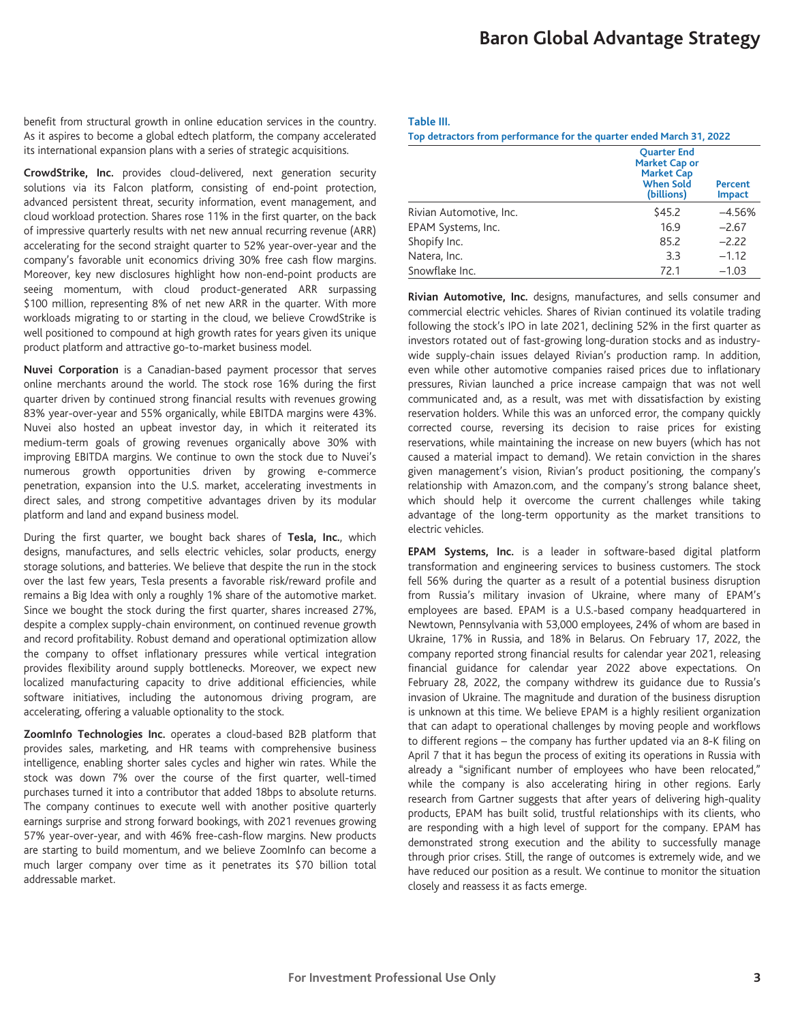benefit from structural growth in online education services in the country. As it aspires to become a global edtech platform, the company accelerated its international expansion plans with a series of strategic acquisitions.

**CrowdStrike, Inc.** provides cloud-delivered, next generation security solutions via its Falcon platform, consisting of end-point protection, advanced persistent threat, security information, event management, and cloud workload protection. Shares rose 11% in the first quarter, on the back of impressive quarterly results with net new annual recurring revenue (ARR) accelerating for the second straight quarter to 52% year-over-year and the company's favorable unit economics driving 30% free cash flow margins. Moreover, key new disclosures highlight how non-end-point products are seeing momentum, with cloud product-generated ARR surpassing \$100 million, representing 8% of net new ARR in the quarter. With more workloads migrating to or starting in the cloud, we believe CrowdStrike is well positioned to compound at high growth rates for years given its unique product platform and attractive go-to-market business model.

**Nuvei Corporation** is a Canadian-based payment processor that serves online merchants around the world. The stock rose 16% during the first quarter driven by continued strong financial results with revenues growing 83% year-over-year and 55% organically, while EBITDA margins were 43%. Nuvei also hosted an upbeat investor day, in which it reiterated its medium-term goals of growing revenues organically above 30% with improving EBITDA margins. We continue to own the stock due to Nuvei's numerous growth opportunities driven by growing e-commerce penetration, expansion into the U.S. market, accelerating investments in direct sales, and strong competitive advantages driven by its modular platform and land and expand business model.

During the first quarter, we bought back shares of **Tesla, Inc.**, which designs, manufactures, and sells electric vehicles, solar products, energy storage solutions, and batteries. We believe that despite the run in the stock over the last few years, Tesla presents a favorable risk/reward profile and remains a Big Idea with only a roughly 1% share of the automotive market. Since we bought the stock during the first quarter, shares increased 27%, despite a complex supply-chain environment, on continued revenue growth and record profitability. Robust demand and operational optimization allow the company to offset inflationary pressures while vertical integration provides flexibility around supply bottlenecks. Moreover, we expect new localized manufacturing capacity to drive additional efficiencies, while software initiatives, including the autonomous driving program, are accelerating, offering a valuable optionality to the stock.

**ZoomInfo Technologies Inc.** operates a cloud-based B2B platform that provides sales, marketing, and HR teams with comprehensive business intelligence, enabling shorter sales cycles and higher win rates. While the stock was down 7% over the course of the first quarter, well-timed purchases turned it into a contributor that added 18bps to absolute returns. The company continues to execute well with another positive quarterly earnings surprise and strong forward bookings, with 2021 revenues growing 57% year-over-year, and with 46% free-cash-flow margins. New products are starting to build momentum, and we believe ZoomInfo can become a much larger company over time as it penetrates its \$70 billion total addressable market.

#### **Table III.**

**Top detractors from performance for the quarter ended March 31, 2022**

|                         | <b>Ouarter End</b><br><b>Market Cap or</b><br><b>Market Cap</b><br><b>When Sold</b><br>Percent<br>(billions)<br><b>Impact</b> |          |  |
|-------------------------|-------------------------------------------------------------------------------------------------------------------------------|----------|--|
| Rivian Automotive, Inc. | \$45.2                                                                                                                        | $-4.56%$ |  |
| EPAM Systems, Inc.      | 16.9                                                                                                                          | $-2.67$  |  |
| Shopify Inc.            | 85.2                                                                                                                          | $-2.22$  |  |
| Natera, Inc.            | 3.3                                                                                                                           | $-1.12$  |  |
| Snowflake Inc.          | 72.1                                                                                                                          | $-1.03$  |  |

**Rivian Automotive, Inc.** designs, manufactures, and sells consumer and commercial electric vehicles. Shares of Rivian continued its volatile trading following the stock's IPO in late 2021, declining 52% in the first quarter as investors rotated out of fast-growing long-duration stocks and as industrywide supply-chain issues delayed Rivian's production ramp. In addition, even while other automotive companies raised prices due to inflationary pressures, Rivian launched a price increase campaign that was not well communicated and, as a result, was met with dissatisfaction by existing reservation holders. While this was an unforced error, the company quickly corrected course, reversing its decision to raise prices for existing reservations, while maintaining the increase on new buyers (which has not caused a material impact to demand). We retain conviction in the shares given management's vision, Rivian's product positioning, the company's relationship with Amazon.com, and the company's strong balance sheet, which should help it overcome the current challenges while taking advantage of the long-term opportunity as the market transitions to electric vehicles.

**EPAM Systems, Inc.** is a leader in software-based digital platform transformation and engineering services to business customers. The stock fell 56% during the quarter as a result of a potential business disruption from Russia's military invasion of Ukraine, where many of EPAM's employees are based. EPAM is a U.S.-based company headquartered in Newtown, Pennsylvania with 53,000 employees, 24% of whom are based in Ukraine, 17% in Russia, and 18% in Belarus. On February 17, 2022, the company reported strong financial results for calendar year 2021, releasing financial guidance for calendar year 2022 above expectations. On February 28, 2022, the company withdrew its guidance due to Russia's invasion of Ukraine. The magnitude and duration of the business disruption is unknown at this time. We believe EPAM is a highly resilient organization that can adapt to operational challenges by moving people and workflows to different regions – the company has further updated via an 8-K filing on April 7 that it has begun the process of exiting its operations in Russia with already a "significant number of employees who have been relocated," while the company is also accelerating hiring in other regions. Early research from Gartner suggests that after years of delivering high-quality products, EPAM has built solid, trustful relationships with its clients, who are responding with a high level of support for the company. EPAM has demonstrated strong execution and the ability to successfully manage through prior crises. Still, the range of outcomes is extremely wide, and we have reduced our position as a result. We continue to monitor the situation closely and reassess it as facts emerge.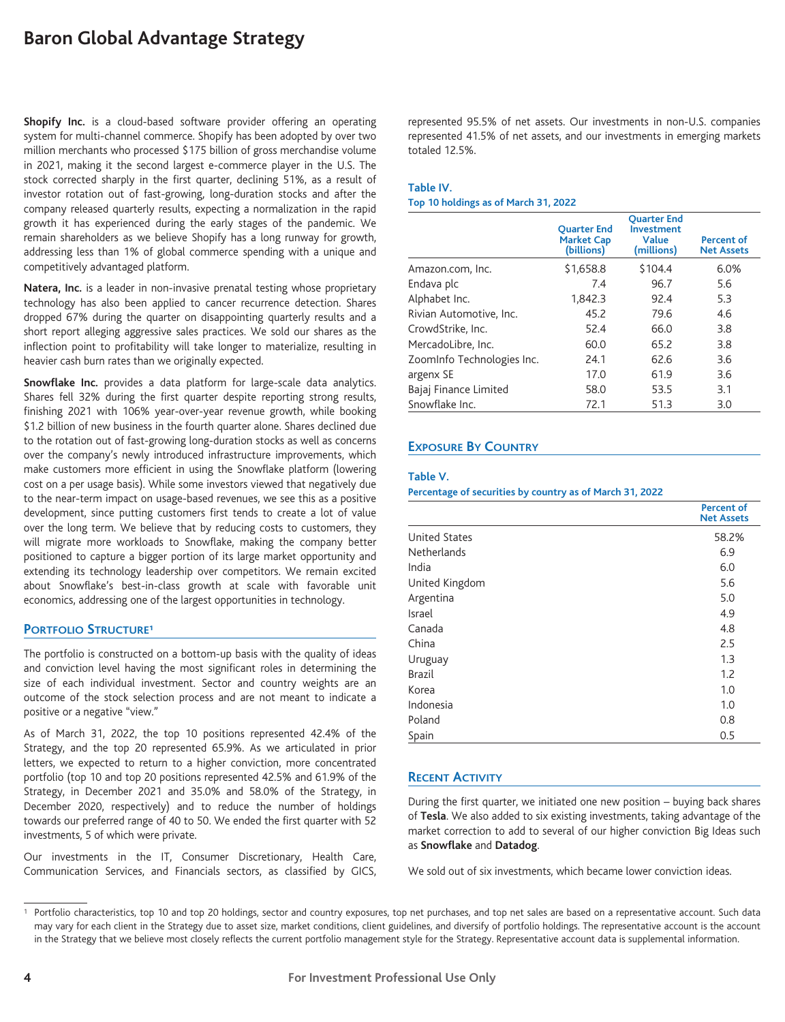**Shopify Inc.** is a cloud-based software provider offering an operating system for multi-channel commerce. Shopify has been adopted by over two million merchants who processed \$175 billion of gross merchandise volume in 2021, making it the second largest e-commerce player in the U.S. The stock corrected sharply in the first quarter, declining 51%, as a result of investor rotation out of fast-growing, long-duration stocks and after the company released quarterly results, expecting a normalization in the rapid growth it has experienced during the early stages of the pandemic. We remain shareholders as we believe Shopify has a long runway for growth, addressing less than 1% of global commerce spending with a unique and competitively advantaged platform.

**Natera, Inc.** is a leader in non-invasive prenatal testing whose proprietary technology has also been applied to cancer recurrence detection. Shares dropped 67% during the quarter on disappointing quarterly results and a short report alleging aggressive sales practices. We sold our shares as the inflection point to profitability will take longer to materialize, resulting in heavier cash burn rates than we originally expected.

**Snowflake Inc.** provides a data platform for large-scale data analytics. Shares fell 32% during the first quarter despite reporting strong results, finishing 2021 with 106% year-over-year revenue growth, while booking \$1.2 billion of new business in the fourth quarter alone. Shares declined due to the rotation out of fast-growing long-duration stocks as well as concerns over the company's newly introduced infrastructure improvements, which make customers more efficient in using the Snowflake platform (lowering cost on a per usage basis). While some investors viewed that negatively due to the near-term impact on usage-based revenues, we see this as a positive development, since putting customers first tends to create a lot of value over the long term. We believe that by reducing costs to customers, they will migrate more workloads to Snowflake, making the company better positioned to capture a bigger portion of its large market opportunity and extending its technology leadership over competitors. We remain excited about Snowflake's best-in-class growth at scale with favorable unit economics, addressing one of the largest opportunities in technology.

### **PORTFOLIO STRUCTURE1**

The portfolio is constructed on a bottom-up basis with the quality of ideas and conviction level having the most significant roles in determining the size of each individual investment. Sector and country weights are an outcome of the stock selection process and are not meant to indicate a positive or a negative "view."

As of March 31, 2022, the top 10 positions represented 42.4% of the Strategy, and the top 20 represented 65.9%. As we articulated in prior letters, we expected to return to a higher conviction, more concentrated portfolio (top 10 and top 20 positions represented 42.5% and 61.9% of the Strategy, in December 2021 and 35.0% and 58.0% of the Strategy, in December 2020, respectively) and to reduce the number of holdings towards our preferred range of 40 to 50. We ended the first quarter with 52 investments, 5 of which were private.

Our investments in the IT, Consumer Discretionary, Health Care, Communication Services, and Financials sectors, as classified by GICS, represented 95.5% of net assets. Our investments in non-U.S. companies represented 41.5% of net assets, and our investments in emerging markets totaled 12.5%.

#### **Table IV.**

#### **Top 10 holdings as of March 31, 2022**

|                            | <b>Ouarter End</b><br><b>Market Cap</b><br>(billions) | <b>Ouarter End</b><br><b>Investment</b><br>Value<br>(millions) | <b>Percent of</b><br><b>Net Assets</b> |
|----------------------------|-------------------------------------------------------|----------------------------------------------------------------|----------------------------------------|
| Amazon.com, Inc.           | \$1,658.8                                             | \$104.4                                                        | 6.0%                                   |
| Endava plc                 | 7.4                                                   | 96.7                                                           | 5.6                                    |
| Alphabet Inc.              | 1,842.3                                               | 92.4                                                           | 5.3                                    |
| Rivian Automotive, Inc.    | 45.2                                                  | 79.6                                                           | 4.6                                    |
| CrowdStrike, Inc.          | 52.4                                                  | 66.0                                                           | 3.8                                    |
| MercadoLibre, Inc.         | 60.0                                                  | 65.2                                                           | 3.8                                    |
| ZoomInfo Technologies Inc. | 24.1                                                  | 62.6                                                           | 3.6                                    |
| argenx SE                  | 17.0                                                  | 61.9                                                           | 3.6                                    |
| Bajaj Finance Limited      | 58.0                                                  | 53.5                                                           | 3.1                                    |
| Snowflake Inc.             | 72.1                                                  | 51.3                                                           | 3.0                                    |

## **EXPOSURE BY COUNTRY**

#### **Table V.**

**Percentage of securities by country as of March 31, 2022**

|                      | <b>Percent of</b><br><b>Net Assets</b> |
|----------------------|----------------------------------------|
| <b>United States</b> | 58.2%                                  |
| <b>Netherlands</b>   | 6.9                                    |
| India                | 6.0                                    |
| United Kingdom       | 5.6                                    |
| Argentina            | 5.0                                    |
| Israel               | 4.9                                    |
| Canada               | 4.8                                    |
| China                | 2.5                                    |
| Uruguay              | 1.3                                    |
| <b>Brazil</b>        | 1.2                                    |
| Korea                | 1.0                                    |
| Indonesia            | 1.0                                    |
| Poland               | 0.8                                    |
| Spain                | 0.5                                    |

## **RECENT ACTIVITY**

During the first quarter, we initiated one new position – buying back shares of **Tesla**. We also added to six existing investments, taking advantage of the market correction to add to several of our higher conviction Big Ideas such as **Snowflake** and **Datadog**.

We sold out of six investments, which became lower conviction ideas.

<sup>1</sup> Portfolio characteristics, top 10 and top 20 holdings, sector and country exposures, top net purchases, and top net sales are based on a representative account. Such data may vary for each client in the Strategy due to asset size, market conditions, client guidelines, and diversify of portfolio holdings. The representative account is the account in the Strategy that we believe most closely reflects the current portfolio management style for the Strategy. Representative account data is supplemental information.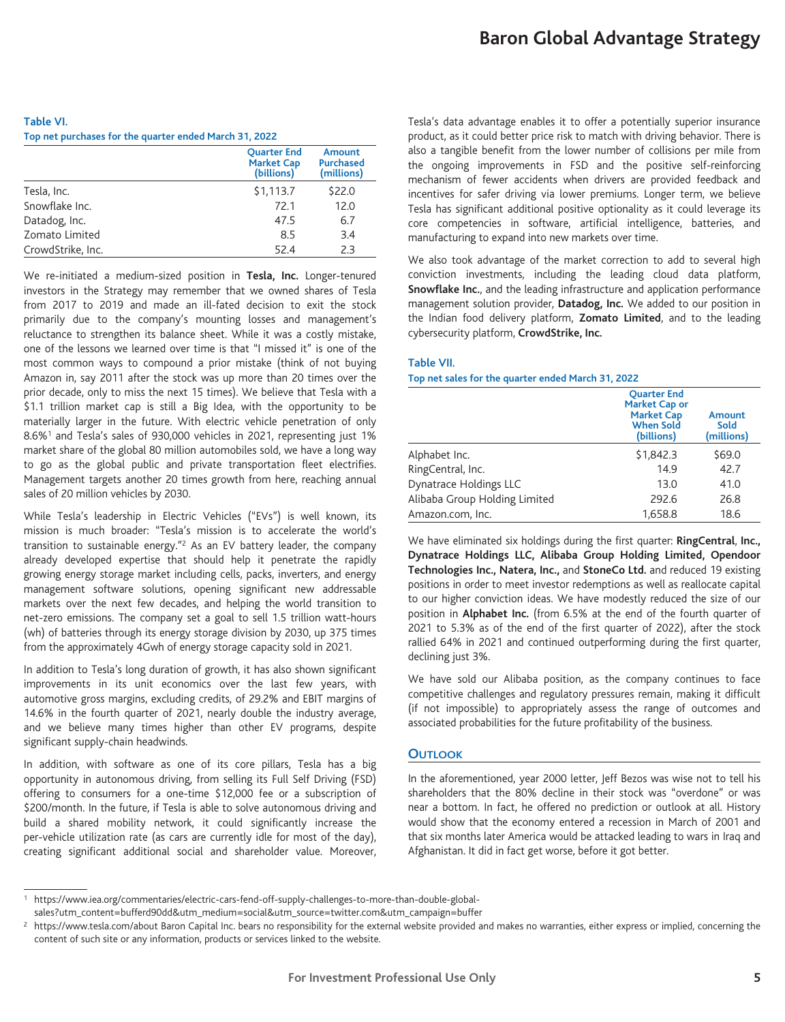#### **Table VI. Top net purchases for the quarter ended March 31, 2022**

| <b>Ouarter End</b><br><b>Market Cap</b><br>(billions) | Amount<br><b>Purchased</b><br>(millions) |
|-------------------------------------------------------|------------------------------------------|
| \$1,113.7                                             | \$22.0                                   |
| 72.1                                                  | 12.0                                     |
| 47.5                                                  | 6.7                                      |
| 8.5                                                   | 3.4                                      |
| 52.4                                                  | 2.3                                      |
|                                                       |                                          |

We re-initiated a medium-sized position in **Tesla, Inc.** Longer-tenured investors in the Strategy may remember that we owned shares of Tesla from 2017 to 2019 and made an ill-fated decision to exit the stock primarily due to the company's mounting losses and management's reluctance to strengthen its balance sheet. While it was a costly mistake, one of the lessons we learned over time is that "I missed it" is one of the most common ways to compound a prior mistake (think of not buying Amazon in, say 2011 after the stock was up more than 20 times over the prior decade, only to miss the next 15 times). We believe that Tesla with a \$1.1 trillion market cap is still a Big Idea, with the opportunity to be materially larger in the future. With electric vehicle penetration of only 8.6%1 and Tesla's sales of 930,000 vehicles in 2021, representing just 1% market share of the global 80 million automobiles sold, we have a long way to go as the global public and private transportation fleet electrifies. Management targets another 20 times growth from here, reaching annual sales of 20 million vehicles by 2030.

While Tesla's leadership in Electric Vehicles ("EVs") is well known, its mission is much broader: "Tesla's mission is to accelerate the world's transition to sustainable energy."2 As an EV battery leader, the company already developed expertise that should help it penetrate the rapidly growing energy storage market including cells, packs, inverters, and energy management software solutions, opening significant new addressable markets over the next few decades, and helping the world transition to net-zero emissions. The company set a goal to sell 1.5 trillion watt-hours (wh) of batteries through its energy storage division by 2030, up 375 times from the approximately 4Gwh of energy storage capacity sold in 2021.

In addition to Tesla's long duration of growth, it has also shown significant improvements in its unit economics over the last few years, with automotive gross margins, excluding credits, of 29.2% and EBIT margins of 14.6% in the fourth quarter of 2021, nearly double the industry average, and we believe many times higher than other EV programs, despite significant supply-chain headwinds.

In addition, with software as one of its core pillars, Tesla has a big opportunity in autonomous driving, from selling its Full Self Driving (FSD) offering to consumers for a one-time \$12,000 fee or a subscription of \$200/month. In the future, if Tesla is able to solve autonomous driving and build a shared mobility network, it could significantly increase the per-vehicle utilization rate (as cars are currently idle for most of the day), creating significant additional social and shareholder value. Moreover,

Tesla's data advantage enables it to offer a potentially superior insurance product, as it could better price risk to match with driving behavior. There is also a tangible benefit from the lower number of collisions per mile from the ongoing improvements in FSD and the positive self-reinforcing mechanism of fewer accidents when drivers are provided feedback and incentives for safer driving via lower premiums. Longer term, we believe Tesla has significant additional positive optionality as it could leverage its core competencies in software, artificial intelligence, batteries, and manufacturing to expand into new markets over time.

We also took advantage of the market correction to add to several high conviction investments, including the leading cloud data platform, **Snowflake Inc.**, and the leading infrastructure and application performance management solution provider, **Datadog, Inc.** We added to our position in the Indian food delivery platform, **Zomato Limited**, and to the leading cybersecurity platform, **CrowdStrike, Inc.**

#### **Table VII.**

#### **Top net sales for the quarter ended March 31, 2022**

|                               | <b>Ouarter End</b><br>Market Cap or<br><b>Market Cap</b><br><b>When Sold</b><br>(billions) | Amount<br>Sold<br>(millions) |
|-------------------------------|--------------------------------------------------------------------------------------------|------------------------------|
| Alphabet Inc.                 | \$1,842.3                                                                                  | \$69.0                       |
| RingCentral, Inc.             | 14.9                                                                                       | 42.7                         |
| Dynatrace Holdings LLC        | 13.0                                                                                       | 41.0                         |
| Alibaba Group Holding Limited | 292.6                                                                                      | 26.8                         |
| Amazon.com, Inc.              | 1.658.8                                                                                    | 18.6                         |

We have eliminated six holdings during the first quarter: **RingCentral**, **Inc., Dynatrace Holdings LLC, Alibaba Group Holding Limited, Opendoor Technologies Inc., Natera, Inc.,** and **StoneCo Ltd.** and reduced 19 existing positions in order to meet investor redemptions as well as reallocate capital to our higher conviction ideas. We have modestly reduced the size of our position in **Alphabet Inc.** (from 6.5% at the end of the fourth quarter of 2021 to 5.3% as of the end of the first quarter of 2022), after the stock rallied 64% in 2021 and continued outperforming during the first quarter, declining just 3%.

We have sold our Alibaba position, as the company continues to face competitive challenges and regulatory pressures remain, making it difficult (if not impossible) to appropriately assess the range of outcomes and associated probabilities for the future profitability of the business.

## **OUTLOOK**

In the aforementioned, year 2000 letter, Jeff Bezos was wise not to tell his shareholders that the 80% decline in their stock was "overdone" or was near a bottom. In fact, he offered no prediction or outlook at all. History would show that the economy entered a recession in March of 2001 and that six months later America would be attacked leading to wars in Iraq and Afghanistan. It did in fact get worse, before it got better.

<sup>1</sup> https://www.iea.org/commentaries/electric-cars-fend-off-supply-challenges-to-more-than-double-globalsales?utm\_content=bufferd90dd&utm\_medium=social&utm\_source=twitter.com&utm\_campaign=buffer

<sup>&</sup>lt;sup>2</sup> https://www.tesla.com/about Baron Capital Inc. bears no responsibility for the external website provided and makes no warranties, either express or implied, concerning the content of such site or any information, products or services linked to the website.